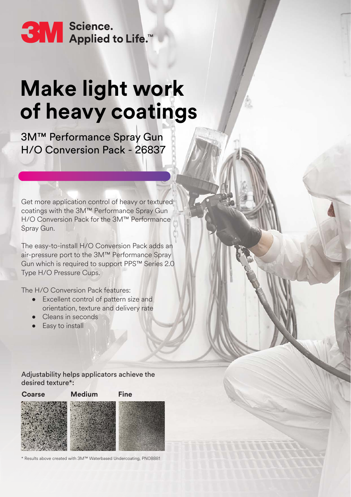SM Science.<br>SM Applied to Life.™

# **Make light work of heavy coatings**

3M™ Performance Spray Gun H/O Conversion Pack - 26837

Get more application control of heavy or textured coatings with the 3M™ Performance Spray Gun H/O Conversion Pack for the 3M™ Performance Spray Gun.

The easy-to-install H/O Conversion Pack adds an air-pressure port to the 3M™ Performance Spray Gun which is required to support PPS™ Series 2.0 Type H/O Pressure Cups.

The H/O Conversion Pack features:

- Excellent control of pattern size and orientation, texture and delivery rate
- Cleans in seconds
- Easy to install

Adjustability helps applicators achieve the desired texture\*:



Results above created with 3M™ Waterbased Undercoating, PN08881